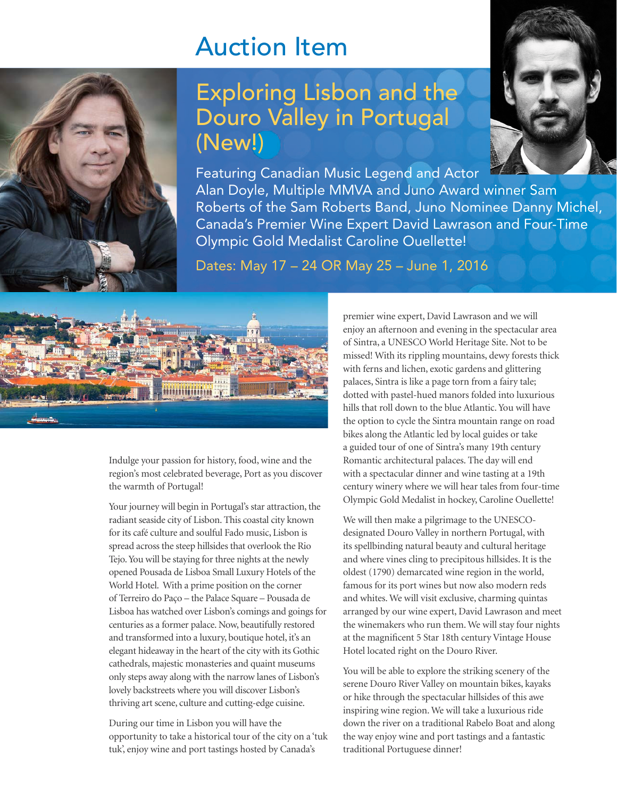## Auction Item



## Exploring Lisbon and the Douro Valley in Portugal (New!)



Featuring Canadian Music Legend and Actor Alan Doyle, Multiple MMVA and Juno Award winner Sam Roberts of the Sam Roberts Band, Juno Nominee Danny Michel, Canada's Premier Wine Expert David Lawrason and Four-Time Olympic Gold Medalist Caroline Ouellette!

Dates: May 17 – 24 OR May 25 – June 1, 2016



Indulge your passion for history, food, wine and the region's most celebrated beverage, Port as you discover the warmth of Portugal!

Your journey will begin in Portugal's star attraction, the radiant seaside city of Lisbon. This coastal city known for its café culture and soulful Fado music, Lisbon is spread across the steep hillsides that overlook the Rio Tejo. You will be staying for three nights at the newly opened Pousada de Lisboa Small Luxury Hotels of the World Hotel. With a prime position on the corner of Terreiro do Paço – the Palace Square – Pousada de Lisboa has watched over Lisbon's comings and goings for centuries as a former palace. Now, beautifully restored and transformed into a luxury, boutique hotel, it's an elegant hideaway in the heart of the city with its Gothic cathedrals, majestic monasteries and quaint museums only steps away along with the narrow lanes of Lisbon's lovely backstreets where you will discover Lisbon's thriving art scene, culture and cutting-edge cuisine.

During our time in Lisbon you will have the opportunity to take a historical tour of the city on a 'tuk tuk', enjoy wine and port tastings hosted by Canada's

premier wine expert, David Lawrason and we will enjoy an afternoon and evening in the spectacular area of Sintra, a UNESCO World Heritage Site. Not to be missed! With its rippling mountains, dewy forests thick with ferns and lichen, exotic gardens and glittering palaces, Sintra is like a page torn from a fairy tale; dotted with pastel-hued manors folded into luxurious hills that roll down to the blue Atlantic. You will have the option to cycle the Sintra mountain range on road bikes along the Atlantic led by local guides or take a guided tour of one of Sintra's many 19th century Romantic architectural palaces. The day will end with a spectacular dinner and wine tasting at a 19th century winery where we will hear tales from four-time Olympic Gold Medalist in hockey, Caroline Ouellette!

We will then make a pilgrimage to the UNESCOdesignated Douro Valley in northern Portugal, with its spellbinding natural beauty and cultural heritage and where vines cling to precipitous hillsides. It is the oldest (1790) demarcated wine region in the world, famous for its port wines but now also modern reds and whites. We will visit exclusive, charming quintas arranged by our wine expert, David Lawrason and meet the winemakers who run them. We will stay four nights at the magnificent 5 Star 18th century Vintage House Hotel located right on the Douro River.

You will be able to explore the striking scenery of the serene Douro River Valley on mountain bikes, kayaks or hike through the spectacular hillsides of this awe inspiring wine region. We will take a luxurious ride down the river on a traditional Rabelo Boat and along the way enjoy wine and port tastings and a fantastic traditional Portuguese dinner!